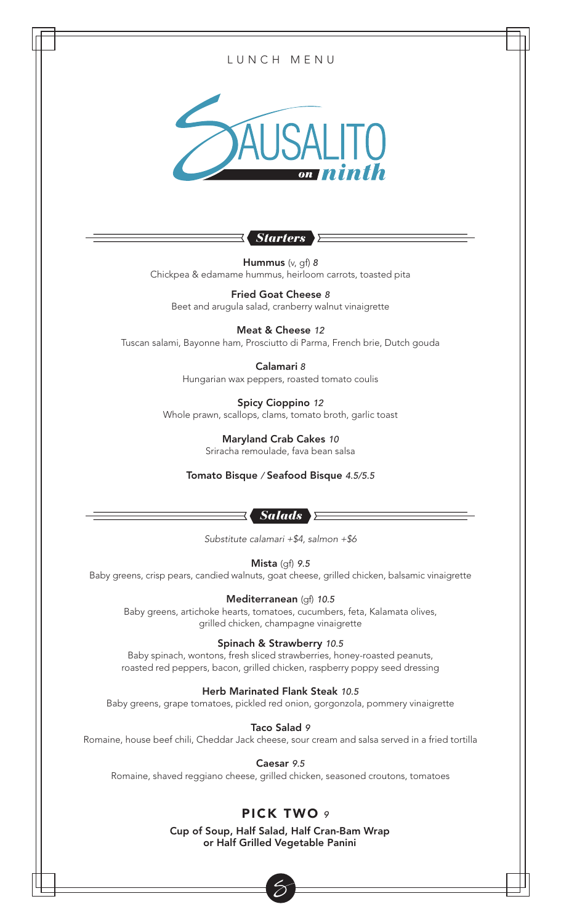

#### Herb Marinated Flank Steak *10.5*

Baby greens, grape tomatoes, pickled red onion, gorgonzola, pommery vinaigrette

Taco Salad *9*

Romaine, house beef chili, Cheddar Jack cheese, sour cream and salsa served in a fried tortilla

Caesar *9.5*

Romaine, shaved reggiano cheese, grilled chicken, seasoned croutons, tomatoes

# PICK TWO *9*

Cup of Soup, Half Salad, Half Cran-Bam Wrap or Half Grilled Vegetable Panini